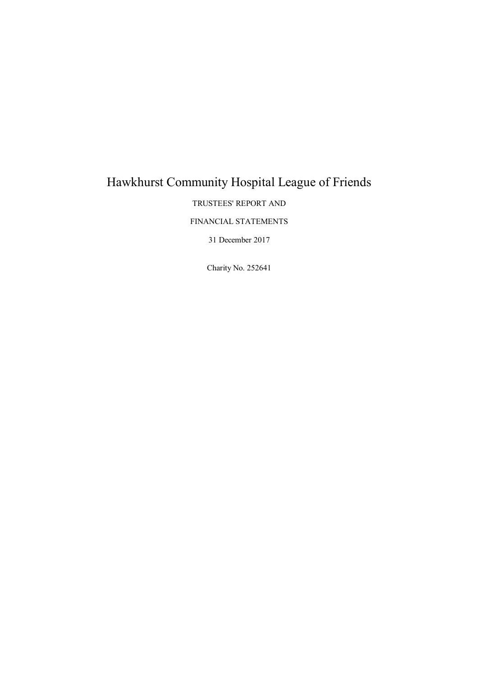# Hawkhurst Community Hospital League of Friends

TRUSTEES' REPORT AND

FINANCIAL STATEMENTS

31 December 2017

Charity No. 252641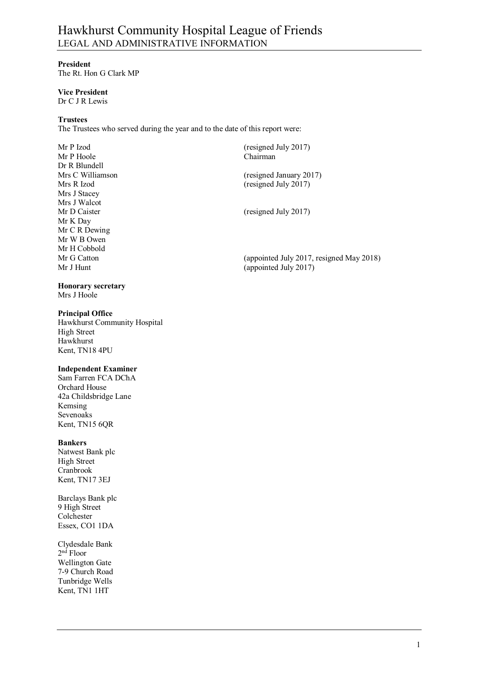# Hawkhurst Community Hospital League of Friends LEGAL AND ADMINISTRATIVE INFORMATION

#### **President**

The Rt. Hon G Clark MP

### **Vice President**

Dr C J R Lewis

#### **Trustees**

The Trustees who served during the year and to the date of this report were:

| Mr P Izod        | (resigned July 2017)                     |
|------------------|------------------------------------------|
| Mr P Hoole       | Chairman                                 |
| Dr R Blundell    |                                          |
| Mrs C Williamson | (resigned January 2017)                  |
| Mrs R Izod       | (resigned July 2017)                     |
| Mrs J Stacey     |                                          |
| Mrs J Walcot     |                                          |
| Mr D Caister     | (resigned July 2017)                     |
| Mr K Day         |                                          |
| Mr C R Dewing    |                                          |
| Mr W B Owen      |                                          |
| Mr H Cobbold     |                                          |
| Mr G Catton      | (appointed July 2017, resigned May 2018) |
| Mr J Hunt        | (appointed July 2017)                    |

**Honorary secretary** 

# Mrs J Hoole

#### **Principal Office**

Hawkhurst Community Hospital High Street Hawkhurst Kent, TN18 4PU

#### **Independent Examiner**

Sam Farren FCA DChA Orchard House 42a Childsbridge Lane Kemsing Sevenoaks Kent, TN15 6QR

#### **Bankers**

Natwest Bank plc High Street Cranbrook Kent, TN17 3EJ

Barclays Bank plc 9 High Street Colchester Essex, CO1 1DA

Clydesdale Bank 2 nd Floor Wellington Gate 7-9 Church Road Tunbridge Wells Kent, TN1 1HT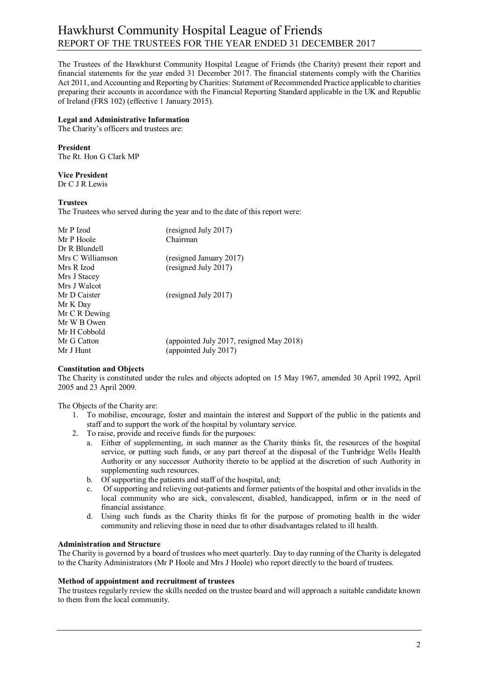# Hawkhurst Community Hospital League of Friends REPORT OF THE TRUSTEES FOR THE YEAR ENDED 31 DECEMBER 2017

The Trustees of the Hawkhurst Community Hospital League of Friends (the Charity) present their report and financial statements for the year ended 31 December 2017. The financial statements comply with the Charities Act 2011, and Accounting and Reporting by Charities: Statement of Recommended Practice applicable to charities preparing their accounts in accordance with the Financial Reporting Standard applicable in the UK and Republic of Ireland (FRS 102) (effective 1 January 2015).

#### **Legal and Administrative Information**

The Charity's officers and trustees are:

#### **President**

The Rt. Hon G Clark MP

#### **Vice President**

Dr C J R Lewis

#### **Trustees**

The Trustees who served during the year and to the date of this report were:

| Mr P Izod        | (resigned July 2017)                     |
|------------------|------------------------------------------|
| Mr P Hoole       | Chairman                                 |
| Dr R Blundell    |                                          |
| Mrs C Williamson | (resigned January 2017)                  |
| Mrs R Izod       | (resigned July 2017)                     |
| Mrs J Stacey     |                                          |
| Mrs J Walcot     |                                          |
| Mr D Caister     | (resigned July 2017)                     |
| Mr K Day         |                                          |
| Mr C R Dewing    |                                          |
| Mr W B Owen      |                                          |
| Mr H Cobbold     |                                          |
| Mr G Catton      | (appointed July 2017, resigned May 2018) |
| Mr J Hunt        | (appointed July 2017)                    |
|                  |                                          |

#### **Constitution and Objects**

The Charity is constituted under the rules and objects adopted on 15 May 1967, amended 30 April 1992, April 2005 and 23 April 2009.

The Objects of the Charity are:

- 1. To mobilise, encourage, foster and maintain the interest and Support of the public in the patients and staff and to support the work of the hospital by voluntary service.
- 2. To raise, provide and receive funds for the purposes:
	- a. Either of supplementing, in such manner as the Charity thinks fit, the resources of the hospital service, or putting such funds, or any part thereof at the disposal of the Tunbridge Wells Health Authority or any successor Authority thereto to be applied at the discretion of such Authority in supplementing such resources.
	- b. Of supporting the patients and staff of the hospital, and;
	- c. Of supporting and relieving out-patients and former patients of the hospital and other invalids in the local community who are sick, convalescent, disabled, handicapped, infirm or in the need of financial assistance.
	- d. Using such funds as the Charity thinks fit for the purpose of promoting health in the wider community and relieving those in need due to other disadvantages related to ill health.

#### **Administration and Structure**

The Charity is governed by a board of trustees who meet quarterly. Day to day running of the Charity is delegated to the Charity Administrators (Mr P Hoole and Mrs J Hoole) who report directly to the board of trustees.

#### **Method of appointment and recruitment of trustees**

The trustees regularly review the skills needed on the trustee board and will approach a suitable candidate known to them from the local community.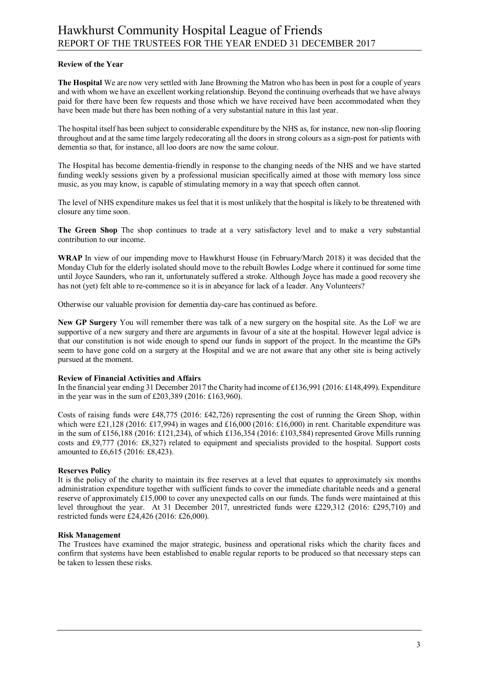#### **Review of the Year**

**The Hospital** We are now very settled with Jane Browning the Matron who has been in post for a couple of years and with whom we have an excellent working relationship. Beyond the continuing overheads that we have always paid for there have been few requests and those which we have received have been accommodated when they have been made but there has been nothing of a very substantial nature in this last year.

The hospital itself has been subject to considerable expenditure by the NHS as, for instance, new non-slip flooring throughout and at the same time largely redecorating all the doors in strong colours as a sign-post for patients with dementia so that, for instance, all loo doors are now the same colour.

The Hospital has become dementia-friendly in response to the changing needs of the NHS and we have started funding weekly sessions given by a professional musician specifically aimed at those with memory loss since music, as you may know, is capable of stimulating memory in a way that speech often cannot.

The level of NHS expenditure makes us feel that it is most unlikely that the hospital is likely to be threatened with closure any time soon.

**The Green Shop** The shop continues to trade at a very satisfactory level and to make a very substantial contribution to our income.

**WRAP** In view of our impending move to Hawkhurst House (in February/March 2018) it was decided that the Monday Club for the elderly isolated should move to the rebuilt Bowles Lodge where it continued for some time until Joyce Saunders, who ran it, unfortunately suffered a stroke. Although Joyce has made a good recovery she has not (yet) felt able to re-commence so it is in abeyance for lack of a leader. Any Volunteers?

Otherwise our valuable provision for dementia day-care has continued as before.

**New GP Surgery** You will remember there was talk of a new surgery on the hospital site. As the LoF we are supportive of a new surgery and there are arguments in favour of a site at the hospital. However legal advice is that our constitution is not wide enough to spend our funds in support of the project. In the meantime the GPs seem to have gone cold on a surgery at the Hospital and we are not aware that any other site is being actively pursued at the moment.

#### **Review of Financial Activities and Affairs**

In the financial year ending 31 December 2017 the Charity had income of £136,991 (2016: £148,499). Expenditure in the year was in the sum of £203,389 (2016: £163,960).

Costs of raising funds were £48,775 (2016: £42,726) representing the cost of running the Green Shop, within which were £21,128 (2016: £17,994) in wages and £16,000 (2016: £16,000) in rent. Charitable expenditure was in the sum of £156,188 (2016: £121,234), of which £136,354 (2016: £103,584) represented Grove Mills running costs and £9,777 (2016: £8,327) related to equipment and specialists provided to the hospital. Support costs amounted to £6,615 (2016: £8,423).

#### **Reserves Policy**

It is the policy of the charity to maintain its free reserves at a level that equates to approximately six months administration expenditure together with sufficient funds to cover the immediate charitable needs and a general reserve of approximately £15,000 to cover any unexpected calls on our funds. The funds were maintained at this level throughout the year. At 31 December 2017, unrestricted funds were £229,312 (2016: £295,710) and restricted funds were £24,426 (2016: £26,000).

#### **Risk Management**

The Trustees have examined the major strategic, business and operational risks which the charity faces and confirm that systems have been established to enable regular reports to be produced so that necessary steps can be taken to lessen these risks.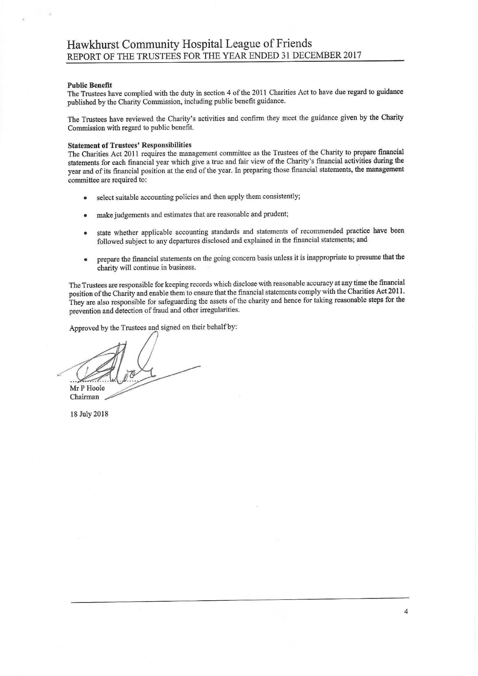#### **Public Benefit**

The Trustees have complied with the duty in section 4 of the 2011 Charities Act to have due regard to guidance published by the Charity Commission, including public benefit guidance.

The Trustees have reviewed the Charity's activities and confirm they meet the guidance given by the Charity Commission with regard to public benefit.

#### **Statement of Trustees' Responsibilities**

The Charities Act 2011 requires the management committee as the Trustees of the Charity to prepare financial statements for each financial year which give a true and fair view of the Charity's financial activities during the year and of its financial position at the end of the year. In preparing those financial statements, the management committee are required to:

- select suitable accounting policies and then apply them consistently;
- make judgements and estimates that are reasonable and prudent;
- state whether applicable accounting standards and statements of recommended practice have been followed subject to any departures disclosed and explained in the financial statements; and
- prepare the financial statements on the going concern basis unless it is inappropriate to presume that the charity will continue in business.

The Trustees are responsible for keeping records which disclose with reasonable accuracy at any time the financial position of the Charity and enable them to ensure that the financial statements comply with the Charities Act 2011. They are also responsible for safeguarding the assets of the charity and hence for taking reasonable steps for the prevention and detection of fraud and other irregularities.

Approved by the Trustees and signed on their behalf by:

Mr P Hoole Chairman

18 July 2018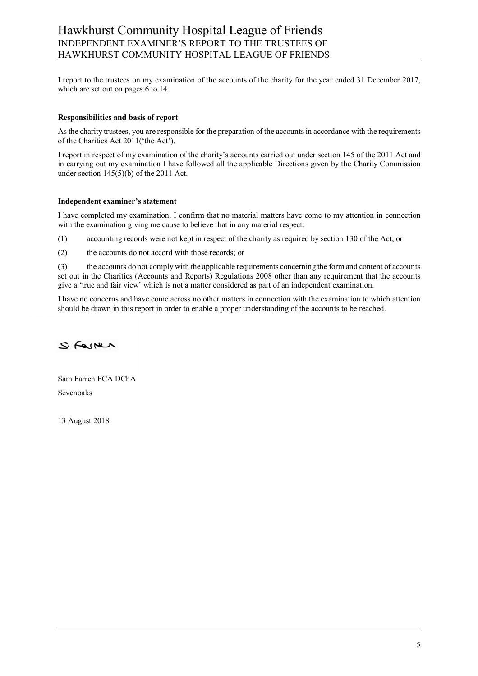I report to the trustees on my examination of the accounts of the charity for the year ended 31 December 2017, which are set out on pages 6 to 14.

#### **Responsibilities and basis of report**

As the charity trustees, you are responsible for the preparation of the accounts in accordance with the requirements of the Charities Act 2011('the Act').

I report in respect of my examination of the charity's accounts carried out under section 145 of the 2011 Act and in carrying out my examination I have followed all the applicable Directions given by the Charity Commission under section 145(5)(b) of the 2011 Act.

#### **Independent examiner's statement**

I have completed my examination. I confirm that no material matters have come to my attention in connection with the examination giving me cause to believe that in any material respect:

(1) accounting records were not kept in respect of the charity as required by section 130 of the Act; or

(2) the accounts do not accord with those records; or

(3) the accounts do not comply with the applicable requirements concerning the form and content of accounts set out in the Charities (Accounts and Reports) Regulations 2008 other than any requirement that the accounts give a 'true and fair view' which is not a matter considered as part of an independent examination.

I have no concerns and have come across no other matters in connection with the examination to which attention should be drawn in this report in order to enable a proper understanding of the accounts to be reached.

S. Former

Sam Farren FCA DChA Sevenoaks

13 August 2018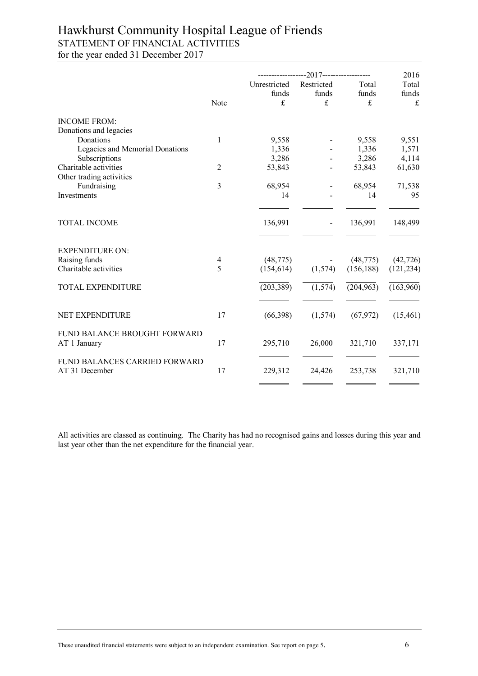# Hawkhurst Community Hospital League of Friends STATEMENT OF FINANCIAL ACTIVITIES for the year ended 31 December 2017

|                                                 |                | --------------2017--------------- |            | 2016       |            |
|-------------------------------------------------|----------------|-----------------------------------|------------|------------|------------|
|                                                 |                | Unrestricted                      | Restricted | Total      | Total      |
|                                                 |                | funds                             | funds      | funds      | funds      |
|                                                 | Note           | $\pounds$                         | £          | £          | $\frak{t}$ |
| <b>INCOME FROM:</b>                             |                |                                   |            |            |            |
| Donations and legacies                          |                |                                   |            |            |            |
| Donations                                       | 1              | 9,558                             |            | 9,558      | 9,551      |
| Legacies and Memorial Donations                 |                | 1,336                             |            | 1,336      | 1,571      |
| Subscriptions                                   |                | 3,286                             |            | 3,286      | 4,114      |
| Charitable activities                           | $\overline{2}$ | 53,843                            |            | 53,843     | 61,630     |
| Other trading activities                        |                |                                   |            |            |            |
| Fundraising                                     | $\overline{3}$ | 68,954                            |            | 68,954     | 71,538     |
| Investments                                     |                | 14                                |            | 14         | 95         |
| <b>TOTAL INCOME</b>                             |                | 136,991                           |            | 136,991    | 148,499    |
| <b>EXPENDITURE ON:</b>                          |                |                                   |            |            |            |
| Raising funds                                   | $\overline{4}$ | (48, 775)                         |            | (48, 775)  | (42, 726)  |
| Charitable activities                           | 5              | (154, 614)                        | (1,574)    | (156, 188) | (121, 234) |
| <b>TOTAL EXPENDITURE</b>                        |                | (203, 389)                        | (1, 574)   | (204, 963) | (163,960)  |
| NET EXPENDITURE                                 | 17             | (66,398)                          | (1,574)    | (67, 972)  | (15, 461)  |
| FUND BALANCE BROUGHT FORWARD<br>AT 1 January    | 17             | 295,710                           | 26,000     | 321,710    | 337,171    |
| FUND BALANCES CARRIED FORWARD<br>AT 31 December | 17             | 229,312                           | 24,426     | 253,738    | 321,710    |
|                                                 |                |                                   |            |            |            |

All activities are classed as continuing. The Charity has had no recognised gains and losses during this year and last year other than the net expenditure for the financial year.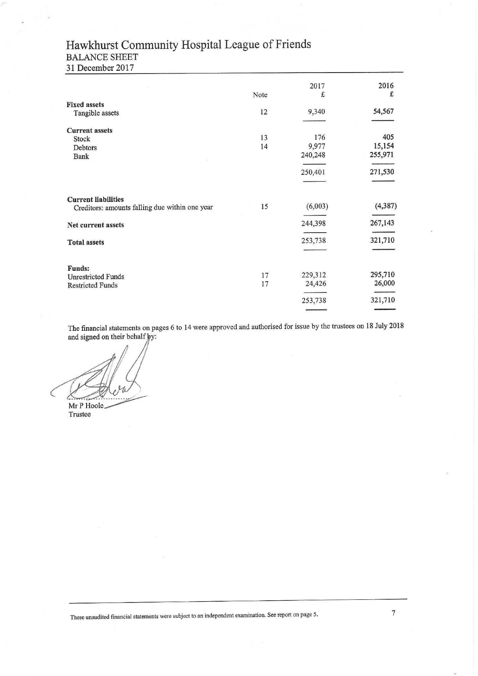# Hawkhurst Community Hospital League of Friends BALANCE SHEET

31 December 2017

|                                                                              | Note | 2017<br>£ | 2016<br>£ |
|------------------------------------------------------------------------------|------|-----------|-----------|
|                                                                              |      |           |           |
| <b>Fixed assets</b><br>Tangible assets                                       | 12   | 9,340     | 54,567    |
| <b>Current assets</b>                                                        |      |           |           |
| Stock                                                                        | 13   | 176       | 405       |
| Debtors                                                                      | 14   | 9,977     | 15,154    |
| Bank                                                                         |      | 240,248   | 255,971   |
|                                                                              |      | 250,401   | 271,530   |
|                                                                              |      |           |           |
| <b>Current liabilities</b><br>Creditors: amounts falling due within one year | 15   | (6,003)   | (4, 387)  |
|                                                                              |      |           |           |
| Net current assets                                                           |      | 244,398   | 267,143   |
|                                                                              |      |           |           |
| <b>Total assets</b>                                                          |      | 253,738   | 321,710   |
|                                                                              |      |           |           |
| <b>Funds:</b><br><b>Unrestricted Funds</b>                                   | 17   | 229,312   | 295,710   |
| <b>Restricted Funds</b>                                                      | 17   | 24,426    | 26,000    |
|                                                                              |      | 253,738   | 321,710   |
|                                                                              |      |           |           |

The financial statements on pages 6 to 14 were approved and authorised for issue by the trustees on 18 July 2018 and signed on their behalf by:

Mr P Hoole

Trustee

These unaudited financial statements were subject to an independent examination. See report on page 5.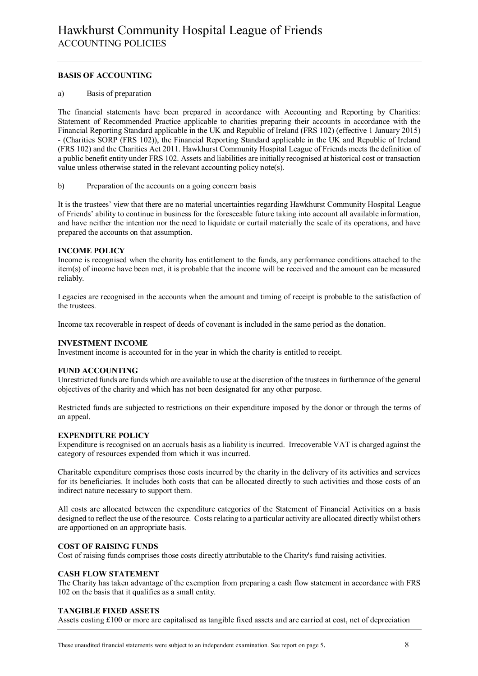#### **BASIS OF ACCOUNTING**

#### a) Basis of preparation

The financial statements have been prepared in accordance with Accounting and Reporting by Charities: Statement of Recommended Practice applicable to charities preparing their accounts in accordance with the Financial Reporting Standard applicable in the UK and Republic of Ireland (FRS 102) (effective 1 January 2015) - (Charities SORP (FRS 102)), the Financial Reporting Standard applicable in the UK and Republic of Ireland (FRS 102) and the Charities Act 2011. Hawkhurst Community Hospital League of Friends meets the definition of a public benefit entity under FRS 102. Assets and liabilities are initially recognised at historical cost or transaction value unless otherwise stated in the relevant accounting policy note(s).

b) Preparation of the accounts on a going concern basis

It is the trustees' view that there are no material uncertainties regarding Hawkhurst Community Hospital League of Friends' ability to continue in business for the foreseeable future taking into account all available information, and have neither the intention nor the need to liquidate or curtail materially the scale of its operations, and have prepared the accounts on that assumption.

#### **INCOME POLICY**

Income is recognised when the charity has entitlement to the funds, any performance conditions attached to the item(s) of income have been met, it is probable that the income will be received and the amount can be measured reliably.

Legacies are recognised in the accounts when the amount and timing of receipt is probable to the satisfaction of the trustees.

Income tax recoverable in respect of deeds of covenant is included in the same period as the donation.

#### **INVESTMENT INCOME**

Investment income is accounted for in the year in which the charity is entitled to receipt.

#### **FUND ACCOUNTING**

Unrestricted funds are funds which are available to use at the discretion of the trustees in furtherance of the general objectives of the charity and which has not been designated for any other purpose.

Restricted funds are subjected to restrictions on their expenditure imposed by the donor or through the terms of an appeal.

#### **EXPENDITURE POLICY**

Expenditure is recognised on an accruals basis as a liability is incurred. Irrecoverable VAT is charged against the category of resources expended from which it was incurred.

Charitable expenditure comprises those costs incurred by the charity in the delivery of its activities and services for its beneficiaries. It includes both costs that can be allocated directly to such activities and those costs of an indirect nature necessary to support them.

All costs are allocated between the expenditure categories of the Statement of Financial Activities on a basis designed to reflect the use of the resource. Costs relating to a particular activity are allocated directly whilst others are apportioned on an appropriate basis.

#### **COST OF RAISING FUNDS**

Cost of raising funds comprises those costs directly attributable to the Charity's fund raising activities.

#### **CASH FLOW STATEMENT**

The Charity has taken advantage of the exemption from preparing a cash flow statement in accordance with FRS 102 on the basis that it qualifies as a small entity.

#### **TANGIBLE FIXED ASSETS**

Assets costing £100 or more are capitalised as tangible fixed assets and are carried at cost, net of depreciation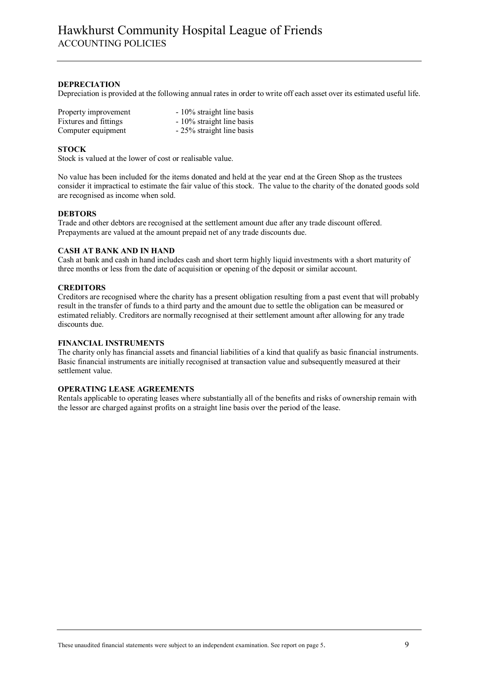#### **DEPRECIATION**

Depreciation is provided at the following annual rates in order to write off each asset over its estimated useful life.

| Property improvement  | - 10% straight line basis |
|-----------------------|---------------------------|
| Fixtures and fittings | - 10% straight line basis |
| Computer equipment    | - 25% straight line basis |

#### **STOCK**

Stock is valued at the lower of cost or realisable value.

No value has been included for the items donated and held at the year end at the Green Shop as the trustees consider it impractical to estimate the fair value of this stock. The value to the charity of the donated goods sold are recognised as income when sold.

#### **DEBTORS**

Trade and other debtors are recognised at the settlement amount due after any trade discount offered. Prepayments are valued at the amount prepaid net of any trade discounts due.

#### **CASH AT BANK AND IN HAND**

Cash at bank and cash in hand includes cash and short term highly liquid investments with a short maturity of three months or less from the date of acquisition or opening of the deposit or similar account.

#### **CREDITORS**

Creditors are recognised where the charity has a present obligation resulting from a past event that will probably result in the transfer of funds to a third party and the amount due to settle the obligation can be measured or estimated reliably. Creditors are normally recognised at their settlement amount after allowing for any trade discounts due.

#### **FINANCIAL INSTRUMENTS**

The charity only has financial assets and financial liabilities of a kind that qualify as basic financial instruments. Basic financial instruments are initially recognised at transaction value and subsequently measured at their settlement value.

#### **OPERATING LEASE AGREEMENTS**

Rentals applicable to operating leases where substantially all of the benefits and risks of ownership remain with the lessor are charged against profits on a straight line basis over the period of the lease.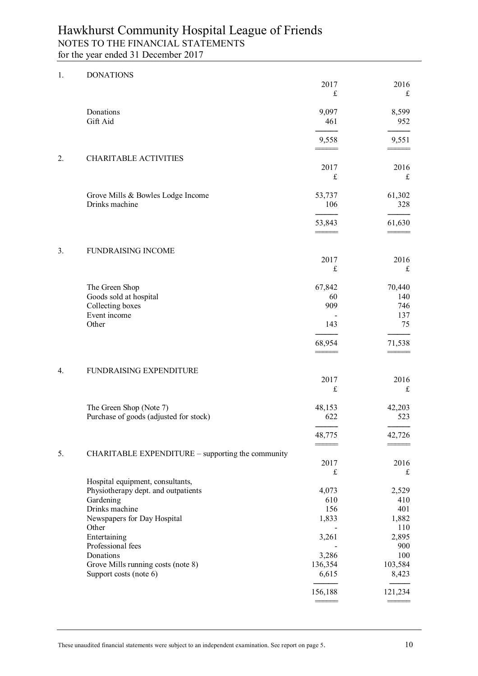| 1. | <b>DONATIONS</b>                                                  |               |               |
|----|-------------------------------------------------------------------|---------------|---------------|
|    |                                                                   | 2017          | 2016          |
|    |                                                                   | $\frak{t}$    | $\mathbf f$   |
|    | Donations                                                         | 9,097         | 8,599         |
|    | Gift Aid                                                          | 461           | 952           |
|    |                                                                   |               |               |
|    |                                                                   | 9,558         | 9,551         |
| 2. | <b>CHARITABLE ACTIVITIES</b>                                      |               |               |
|    |                                                                   | 2017          | 2016          |
|    |                                                                   | $\pounds$     | $\mathbf f$   |
|    | Grove Mills & Bowles Lodge Income                                 | 53,737        | 61,302        |
|    | Drinks machine                                                    | 106           | 328           |
|    |                                                                   | 53,843        | 61,630        |
|    |                                                                   |               |               |
|    |                                                                   |               |               |
| 3. | <b>FUNDRAISING INCOME</b>                                         | 2017          | 2016          |
|    |                                                                   | $\mathbf f$   | $\pounds$     |
|    |                                                                   |               |               |
|    | The Green Shop<br>Goods sold at hospital                          | 67,842<br>60  | 70,440<br>140 |
|    | Collecting boxes                                                  | 909           | 746           |
|    | Event income                                                      |               | 137           |
|    | Other                                                             | 143           | 75            |
|    |                                                                   |               |               |
|    |                                                                   | 68,954        | 71,538        |
|    |                                                                   |               |               |
| 4. | FUNDRAISING EXPENDITURE                                           | 2017          | 2016          |
|    |                                                                   | $\frak{t}$    | $\frak{t}$    |
|    |                                                                   |               |               |
|    | The Green Shop (Note 7)<br>Purchase of goods (adjusted for stock) | 48,153<br>622 | 42,203<br>523 |
|    |                                                                   |               |               |
|    |                                                                   | 48,775        | 42,726        |
| 5. | CHARITABLE EXPENDITURE - supporting the community                 |               |               |
|    |                                                                   | 2017          | 2016          |
|    |                                                                   | $\mathbf f$   | $\mathbf f$   |
|    | Hospital equipment, consultants,                                  |               |               |
|    | Physiotherapy dept. and outpatients                               | 4,073         | 2,529         |
|    | Gardening                                                         | 610           | 410           |
|    | Drinks machine                                                    | 156           | 401           |
|    | Newspapers for Day Hospital<br>Other                              | 1,833         | 1,882<br>110  |
|    | Entertaining                                                      | 3,261         | 2,895         |
|    | Professional fees                                                 |               | 900           |
|    | Donations                                                         | 3,286         | 100           |
|    | Grove Mills running costs (note 8)                                | 136,354       | 103,584       |
|    | Support costs (note 6)                                            | 6,615         | 8,423         |
|    |                                                                   | 156,188       | 121,234       |
|    |                                                                   |               |               |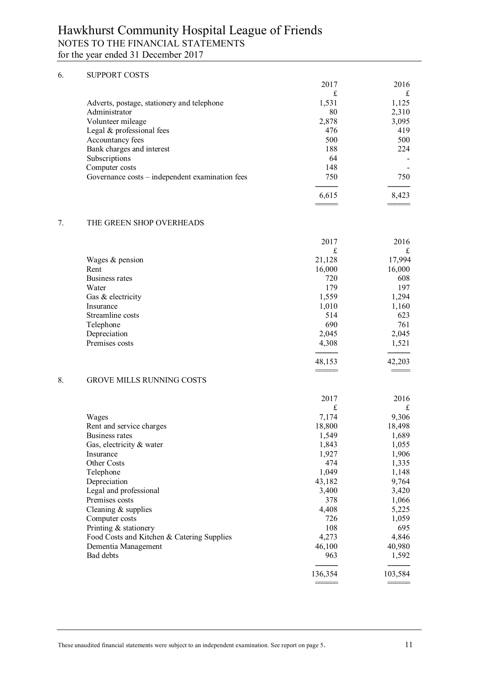#### 6. SUPPORT COSTS 2017 2016 £ £ Adverts, postage, stationery and telephone 1,531 1,125 Administrator 2,310 Volunteer mileage 2,878 3,095 Legal & professional fees 476 476 419 Accountancy fees 500 500 Bank charges and interest Subscriptions **64** - **64** - **64** - **64** - **64** - **64** - **64** - **64** - **64** - **64** - **64** - **64** - **64** - **64** - **64** - **64** - **64** - **64** - **64** - **64** - **64** - **64** - **64** - **64** - **64** - **64** - **64** - **64** - **64** - **64** Computer costs 148 Governance costs – independent examination fees 750 750 750 ------------ ------------ 6,615 8,423 ====== ====== 7. THE GREEN SHOP OVERHEADS 2017 2016 £ £ Wages & pension 21,128 17,994<br>Rent 16,000 16,000 Rent 16,000 16,000 16,000 Business rates 720 608<br>Water 179 197 Water 179 197 Gas & electricity  $1,559$   $1,294$ Insurance 1,010 1,160 Streamline costs 514 623 Telephone 690 761 Depreciation 2,045 2,045 Premises costs 4,308 1,521 ------------ ------------ 48,153 42,203 ====== =====

#### 8. GROVE MILLS RUNNING COSTS

|                                            | 2017    | 2016    |
|--------------------------------------------|---------|---------|
|                                            | £       | £       |
| Wages                                      | 7,174   | 9,306   |
| Rent and service charges                   | 18,800  | 18,498  |
| Business rates                             | 1,549   | 1,689   |
| Gas, electricity $\&$ water                | 1,843   | 1,055   |
| Insurance                                  | 1,927   | 1,906   |
| Other Costs                                | 474     | 1,335   |
| Telephone                                  | 1,049   | 1,148   |
| Depreciation                               | 43,182  | 9,764   |
| Legal and professional                     | 3,400   | 3,420   |
| Premises costs                             | 378     | 1,066   |
| Cleaning $&$ supplies                      | 4,408   | 5,225   |
| Computer costs                             | 726     | 1,059   |
| Printing $&$ stationery                    | 108     | 695     |
| Food Costs and Kitchen & Catering Supplies | 4,273   | 4,846   |
| Dementia Management                        | 46,100  | 40,980  |
| Bad debts                                  | 963     | 1,592   |
|                                            | 136,354 | 103,584 |
|                                            |         |         |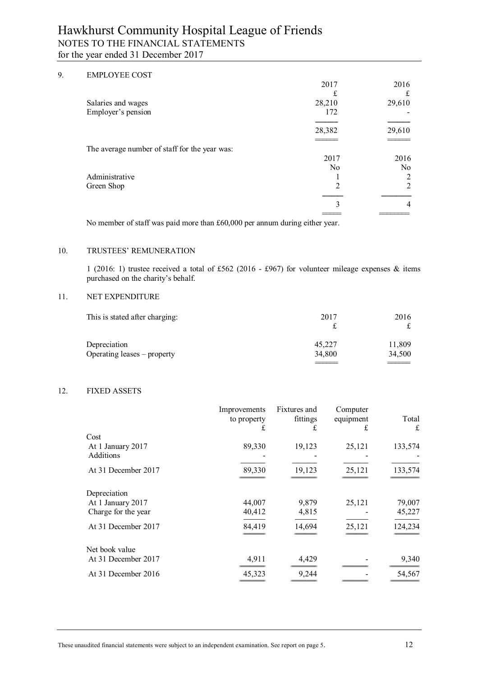#### 9. EMPLOYEE COST

|                                               | 2017           | 2016           |
|-----------------------------------------------|----------------|----------------|
|                                               |                | £              |
| Salaries and wages                            | 28,210         | 29,610         |
| Employer's pension                            | 172            |                |
|                                               |                |                |
|                                               | 28,382         | 29,610         |
|                                               |                |                |
| The average number of staff for the year was: |                |                |
|                                               | 2017           | 2016           |
|                                               | N <sub>0</sub> | No             |
| Administrative                                |                | 2              |
| Green Shop                                    | $\overline{c}$ | 2              |
|                                               |                |                |
|                                               | 3              | $\overline{4}$ |
|                                               |                |                |

No member of staff was paid more than £60,000 per annum during either year.

#### 10. TRUSTEES' REMUNERATION

1 (2016: 1) trustee received a total of £562 (2016 - £967) for volunteer mileage expenses & items purchased on the charity's behalf.

#### 11. NET EXPENDITURE

| 2017   | 2016   |
|--------|--------|
| 45,227 | 11,809 |
| 34,800 | 34,500 |
|        |        |

#### 12. FIXED ASSETS

|                     | Improvements<br>to property<br>£ | Fixtures and<br>fittings | Computer<br>equipment<br>£ | Total<br>£ |
|---------------------|----------------------------------|--------------------------|----------------------------|------------|
| Cost                |                                  |                          |                            |            |
| At 1 January 2017   | 89,330                           | 19,123                   | 25,121                     | 133,574    |
| Additions           |                                  |                          |                            |            |
| At 31 December 2017 | 89,330                           | 19,123                   | 25,121                     | 133,574    |
| Depreciation        |                                  |                          |                            |            |
| At 1 January 2017   | 44,007                           | 9,879                    | 25,121                     | 79,007     |
| Charge for the year | 40,412                           | 4,815                    |                            | 45,227     |
| At 31 December 2017 | 84,419                           | 14,694                   | 25,121                     | 124,234    |
| Net book value      |                                  |                          |                            |            |
| At 31 December 2017 | 4,911                            | 4,429                    |                            | 9,340      |
| At 31 December 2016 | 45,323                           | 9,244                    |                            | 54,567     |
|                     |                                  |                          |                            |            |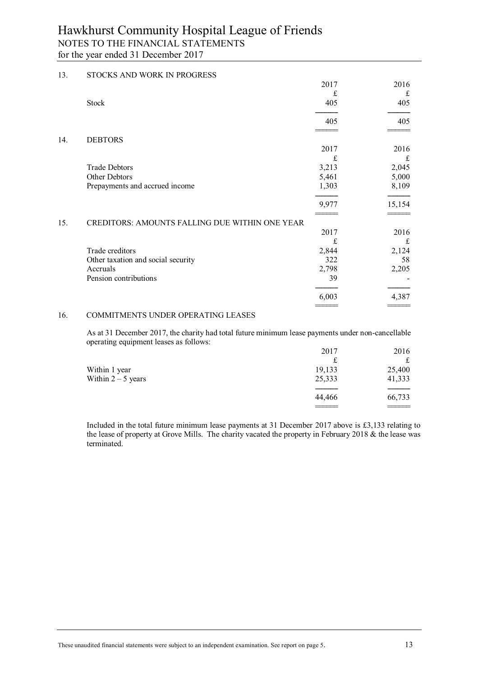| 13. | STOCKS AND WORK IN PROGRESS                    |       |        |
|-----|------------------------------------------------|-------|--------|
|     |                                                | 2017  | 2016   |
|     |                                                | £     | £      |
|     | <b>Stock</b>                                   | 405   | 405    |
|     |                                                | 405   | 405    |
|     |                                                |       |        |
| 14. | <b>DEBTORS</b>                                 | 2017  | 2016   |
|     |                                                | £     | £      |
|     | <b>Trade Debtors</b>                           | 3,213 | 2,045  |
|     | Other Debtors                                  | 5,461 | 5,000  |
|     | Prepayments and accrued income                 | 1,303 | 8,109  |
|     |                                                | 9,977 | 15,154 |
| 15. | CREDITORS: AMOUNTS FALLING DUE WITHIN ONE YEAR |       |        |
|     |                                                | 2017  | 2016   |
|     |                                                | £     | £      |
|     | Trade creditors                                | 2,844 | 2,124  |
|     | Other taxation and social security             | 322   | 58     |
|     | Accruals                                       | 2,798 | 2,205  |
|     | Pension contributions                          | 39    |        |
|     |                                                | 6,003 | 4,387  |
|     |                                                |       |        |

#### 16. COMMITMENTS UNDER OPERATING LEASES

 As at 31 December 2017, the charity had total future minimum lease payments under non-cancellable operating equipment leases as follows:

|                      | 2017   | 2016   |
|----------------------|--------|--------|
|                      | £      |        |
| Within 1 year        | 19,133 | 25,400 |
| Within $2 - 5$ years | 25,333 | 41,333 |
|                      |        |        |
|                      | 44,466 | 66,733 |
|                      |        |        |

 Included in the total future minimum lease payments at 31 December 2017 above is £3,133 relating to the lease of property at Grove Mills. The charity vacated the property in February 2018 & the lease was terminated.